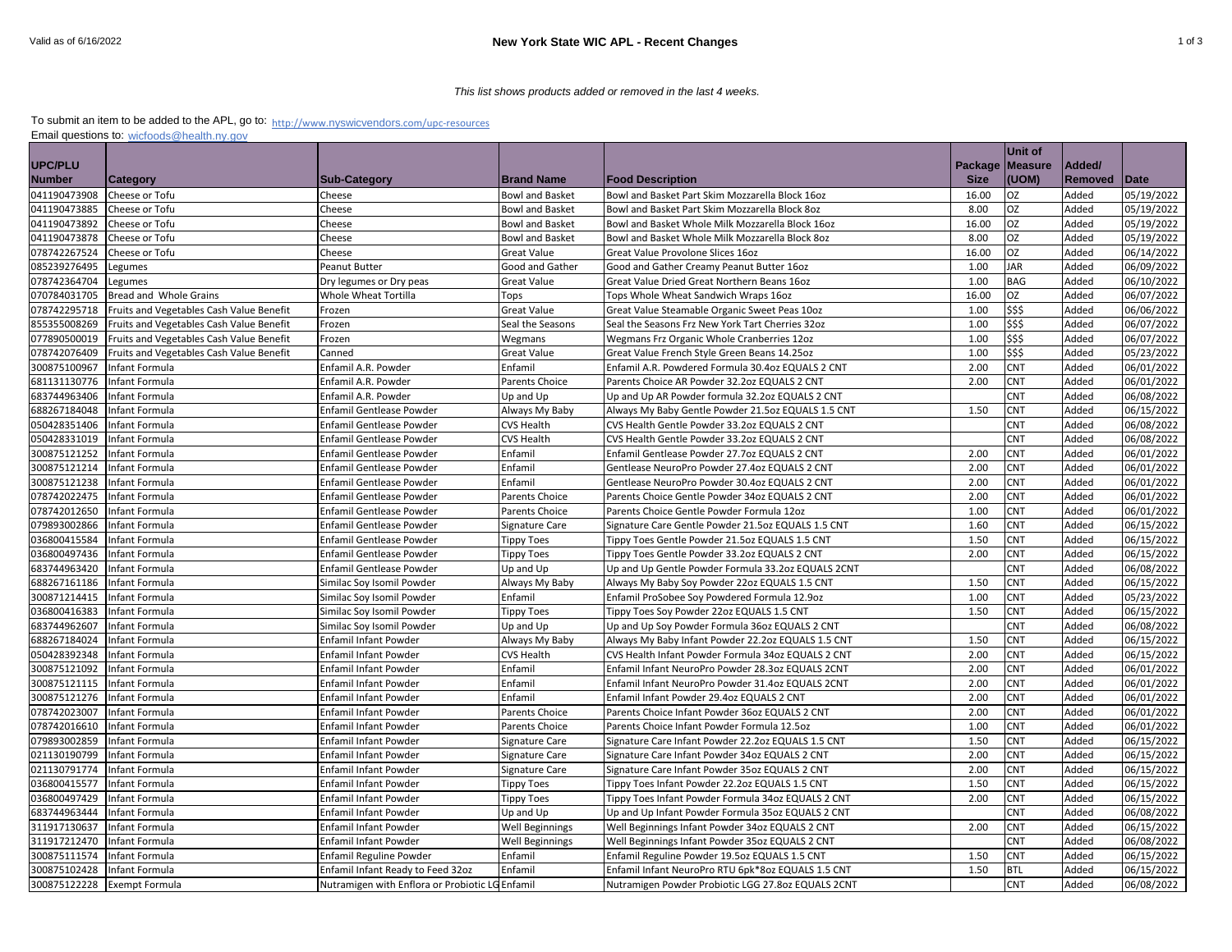## *This list shows products added or removed in the last 4 weeks.*

## To submit an item to be added to the APL, go to: <sub>http://www.nyswicvendors[.com/upc-resources](http://www.nyswicvendors.com/upc-resources)</sub> Email questions to: [wicfoods@health.ny.gov](mailto:wicfoods@health.ny.gov)

|                |                                          |                                                 |                        |                                                    |             | <b>Unit of</b>  |         |             |
|----------------|------------------------------------------|-------------------------------------------------|------------------------|----------------------------------------------------|-------------|-----------------|---------|-------------|
| <b>UPC/PLU</b> |                                          |                                                 |                        |                                                    |             | Package Measure | Added/  |             |
| <b>Number</b>  | <b>Category</b>                          | <b>Sub-Category</b>                             | <b>Brand Name</b>      | <b>Food Description</b>                            | <b>Size</b> | (UOM)           | Removed | <b>Date</b> |
| 041190473908   | Cheese or Tofu                           | Cheese                                          | <b>Bowl and Basket</b> | Bowl and Basket Part Skim Mozzarella Block 16oz    | 16.00       | <b>OZ</b>       | Added   | 05/19/2022  |
| 041190473885   | Cheese or Tofu                           | Cheese                                          | <b>Bowl and Basket</b> | Bowl and Basket Part Skim Mozzarella Block 8oz     | 8.00        | <b>OZ</b>       | Added   | 05/19/2022  |
| 041190473892   | Cheese or Tofu                           | Cheese                                          | <b>Bowl and Basket</b> | Bowl and Basket Whole Milk Mozzarella Block 16oz   | 16.00       | <b>OZ</b>       | Added   | 05/19/2022  |
| 041190473878   | Cheese or Tofu                           | Cheese                                          | <b>Bowl and Basket</b> | Bowl and Basket Whole Milk Mozzarella Block 8oz    | 8.00        | <b>OZ</b>       | Added   | 05/19/2022  |
| 078742267524   | Cheese or Tofu                           | Cheese                                          | <b>Great Value</b>     | Great Value Provolone Slices 16oz                  | 16.00       | <b>OZ</b>       | Added   | 06/14/2022  |
| 085239276495   | Legumes                                  | Peanut Butter                                   | Good and Gather        | Good and Gather Creamy Peanut Butter 16oz          | 1.00        | <b>JAR</b>      | Added   | 06/09/2022  |
| 078742364704   | Legumes                                  | Dry legumes or Dry peas                         | <b>Great Value</b>     | Great Value Dried Great Northern Beans 16oz        | 1.00        | <b>BAG</b>      | Added   | 06/10/2022  |
| 070784031705   | Bread and Whole Grains                   | Whole Wheat Tortilla                            | Tops                   | Tops Whole Wheat Sandwich Wraps 16oz               | 16.00       | <b>OZ</b>       | Added   | 06/07/2022  |
| 078742295718   | Fruits and Vegetables Cash Value Benefit | Frozen                                          | Great Value            | Great Value Steamable Organic Sweet Peas 10oz      | 1.00        | \$\$\$          | Added   | 06/06/2022  |
| 855355008269   | Fruits and Vegetables Cash Value Benefit | Frozen                                          | Seal the Seasons       | Seal the Seasons Frz New York Tart Cherries 32oz   | 1.00        | \$\$\$          | Added   | 06/07/2022  |
| 077890500019   | Fruits and Vegetables Cash Value Benefit | Frozen                                          | Wegmans                | Wegmans Frz Organic Whole Cranberries 12oz         | 1.00        | \$\$\$          | Added   | 06/07/2022  |
| 078742076409   | Fruits and Vegetables Cash Value Benefit | Canned                                          | <b>Great Value</b>     | Great Value French Style Green Beans 14.25oz       | 1.00        | \$\$\$          | Added   | 05/23/2022  |
| 300875100967   | Infant Formula                           | Enfamil A.R. Powder                             | Enfamil                | Enfamil A.R. Powdered Formula 30.4oz EQUALS 2 CNT  | 2.00        | <b>CNT</b>      | Added   | 06/01/2022  |
| 681131130776   | Infant Formula                           | Enfamil A.R. Powder                             | Parents Choice         | Parents Choice AR Powder 32.2oz EQUALS 2 CNT       | 2.00        | <b>CNT</b>      | Added   | 06/01/2022  |
| 683744963406   | Infant Formula                           | Enfamil A.R. Powder                             | Up and Up              | Up and Up AR Powder formula 32.2oz EQUALS 2 CNT    |             | <b>CNT</b>      | Added   | 06/08/2022  |
| 688267184048   | Infant Formula                           | Enfamil Gentlease Powder                        | Always My Baby         | Always My Baby Gentle Powder 21.5oz EQUALS 1.5 CNT | 1.50        | <b>CNT</b>      | Added   | 06/15/2022  |
| 050428351406   | Infant Formula                           | <b>Enfamil Gentlease Powder</b>                 | <b>CVS Health</b>      | CVS Health Gentle Powder 33.2oz EQUALS 2 CNT       |             | <b>CNT</b>      | Added   | 06/08/2022  |
| 050428331019   | Infant Formula                           | Enfamil Gentlease Powder                        | <b>CVS Health</b>      | CVS Health Gentle Powder 33.2oz EQUALS 2 CNT       |             | <b>CNT</b>      | Added   | 06/08/2022  |
| 300875121252   | Infant Formula                           | Enfamil Gentlease Powder                        | Enfamil                | Enfamil Gentlease Powder 27.7oz EQUALS 2 CNT       | 2.00        | <b>CNT</b>      | Added   | 06/01/2022  |
| 300875121214   | Infant Formula                           | <b>Enfamil Gentlease Powder</b>                 | Enfamil                | Gentlease NeuroPro Powder 27.4oz EQUALS 2 CNT      | 2.00        | <b>CNT</b>      | Added   | 06/01/2022  |
| 300875121238   | Infant Formula                           | Enfamil Gentlease Powder                        | Enfamil                | Gentlease NeuroPro Powder 30.4oz EQUALS 2 CNT      | 2.00        | <b>CNT</b>      | Added   | 06/01/2022  |
| 078742022475   | Infant Formula                           | Enfamil Gentlease Powder                        | Parents Choice         | Parents Choice Gentle Powder 34oz EQUALS 2 CNT     | 2.00        | <b>CNT</b>      | Added   | 06/01/2022  |
| 078742012650   | Infant Formula                           | Enfamil Gentlease Powder                        | Parents Choice         | Parents Choice Gentle Powder Formula 12oz          | 1.00        | <b>CNT</b>      | Added   | 06/01/2022  |
| 079893002866   | Infant Formula                           | <b>Enfamil Gentlease Powder</b>                 | Signature Care         | Signature Care Gentle Powder 21.5oz EQUALS 1.5 CNT | 1.60        | <b>CNT</b>      | Added   | 06/15/2022  |
| 036800415584   | Infant Formula                           | Enfamil Gentlease Powder                        | <b>Tippy Toes</b>      | Tippy Toes Gentle Powder 21.5oz EQUALS 1.5 CNT     | 1.50        | <b>CNT</b>      | Added   | 06/15/2022  |
| 036800497436   | Infant Formula                           | Enfamil Gentlease Powder                        | Tippy Toes             | Tippy Toes Gentle Powder 33.2oz EQUALS 2 CNT       | 2.00        | <b>CNT</b>      | Added   | 06/15/2022  |
| 683744963420   | Infant Formula                           | Enfamil Gentlease Powder                        | Up and Up              | Up and Up Gentle Powder Formula 33.2oz EQUALS 2CNT |             | <b>CNT</b>      | Added   | 06/08/2022  |
| 688267161186   | Infant Formula                           | Similac Soy Isomil Powder                       | Always My Baby         | Always My Baby Soy Powder 22oz EQUALS 1.5 CNT      | 1.50        | CNT             | Added   | 06/15/2022  |
| 300871214415   | Infant Formula                           | Similac Soy Isomil Powder                       | Enfamil                | Enfamil ProSobee Soy Powdered Formula 12.9oz       | 1.00        | <b>CNT</b>      | Added   | 05/23/2022  |
| 036800416383   | Infant Formula                           | Similac Soy Isomil Powder                       | <b>Tippy Toes</b>      | Tippy Toes Soy Powder 22oz EQUALS 1.5 CNT          | 1.50        | <b>CNT</b>      | Added   | 06/15/2022  |
| 683744962607   | Infant Formula                           | Similac Soy Isomil Powder                       | Up and Up              | Up and Up Soy Powder Formula 36oz EQUALS 2 CNT     |             | <b>CNT</b>      | Added   | 06/08/2022  |
| 688267184024   | Infant Formula                           | Enfamil Infant Powder                           | Always My Baby         | Always My Baby Infant Powder 22.2oz EQUALS 1.5 CNT | 1.50        | <b>CNT</b>      | Added   | 06/15/2022  |
| 050428392348   | Infant Formula                           | Enfamil Infant Powder                           | <b>CVS Health</b>      | CVS Health Infant Powder Formula 34oz EQUALS 2 CNT | 2.00        | <b>CNT</b>      | Added   | 06/15/2022  |
| 300875121092   | Infant Formula                           | Enfamil Infant Powder                           | Enfamil                | Enfamil Infant NeuroPro Powder 28.3oz EQUALS 2CNT  | 2.00        | <b>CNT</b>      | Added   | 06/01/2022  |
| 300875121115   | Infant Formula                           | Enfamil Infant Powder                           | Enfamil                | Enfamil Infant NeuroPro Powder 31.4oz EQUALS 2CNT  | 2.00        | <b>CNT</b>      | Added   | 06/01/2022  |
| 300875121276   | Infant Formula                           | Enfamil Infant Powder                           | Enfamil                | Enfamil Infant Powder 29.4oz EQUALS 2 CNT          | 2.00        | CNT             | Added   | 06/01/2022  |
| 078742023007   | Infant Formula                           | Enfamil Infant Powder                           | Parents Choice         | Parents Choice Infant Powder 36oz EQUALS 2 CNT     | 2.00        | <b>CNT</b>      | Added   | 06/01/2022  |
| 078742016610   | Infant Formula                           | <b>Enfamil Infant Powder</b>                    | Parents Choice         | Parents Choice Infant Powder Formula 12.5oz        | 1.00        | <b>CNT</b>      | Added   | 06/01/2022  |
| 079893002859   | Infant Formula                           | Enfamil Infant Powder                           | Signature Care         | Signature Care Infant Powder 22.2oz EQUALS 1.5 CNT | 1.50        | <b>CNT</b>      | Added   | 06/15/2022  |
| 021130190799   | Infant Formula                           | Enfamil Infant Powder                           | Signature Care         | Signature Care Infant Powder 34oz EQUALS 2 CNT     | 2.00        | <b>CNT</b>      | Added   | 06/15/2022  |
| 021130791774   | Infant Formula                           | Enfamil Infant Powder                           | Signature Care         | Signature Care Infant Powder 35oz EQUALS 2 CNT     | 2.00        | <b>CNT</b>      | Added   | 06/15/2022  |
| 036800415577   | Infant Formula                           | Enfamil Infant Powder                           | <b>Tippy Toes</b>      | Tippy Toes Infant Powder 22.2oz EQUALS 1.5 CNT     | 1.50        | <b>CNT</b>      | Added   | 06/15/2022  |
| 036800497429   | Infant Formula                           | <b>Enfamil Infant Powder</b>                    | <b>Tippy Toes</b>      | Tippy Toes Infant Powder Formula 34oz EQUALS 2 CNT | 2.00        | <b>CNT</b>      | Added   | 06/15/2022  |
| 683744963444   | Infant Formula                           | Enfamil Infant Powder                           | Up and Up              | Up and Up Infant Powder Formula 35oz EQUALS 2 CNT  |             | <b>CNT</b>      | Added   | 06/08/2022  |
| 311917130637   | Infant Formula                           | Enfamil Infant Powder                           | Well Beginnings        | Well Beginnings Infant Powder 34oz EQUALS 2 CNT    | 2.00        | <b>CNT</b>      | Added   | 06/15/2022  |
| 311917212470   | Infant Formula                           | Enfamil Infant Powder                           | <b>Well Beginnings</b> | Well Beginnings Infant Powder 35oz EQUALS 2 CNT    |             | <b>CNT</b>      | Added   | 06/08/2022  |
| 300875111574   | Infant Formula                           | <b>Enfamil Reguline Powder</b>                  | Enfamil                | Enfamil Reguline Powder 19.5oz EQUALS 1.5 CNT      | 1.50        | <b>CNT</b>      | Added   | 06/15/2022  |
| 300875102428   | Infant Formula                           | Enfamil Infant Ready to Feed 32oz               | Enfamil                | Enfamil Infant NeuroPro RTU 6pk*8oz EQUALS 1.5 CNT | 1.50        | <b>BTL</b>      | Added   | 06/15/2022  |
| 300875122228   | <b>Exempt Formula</b>                    | Nutramigen with Enflora or Probiotic LG Enfamil |                        | Nutramigen Powder Probiotic LGG 27.8oz EQUALS 2CNT |             | <b>CNT</b>      | Added   | 06/08/2022  |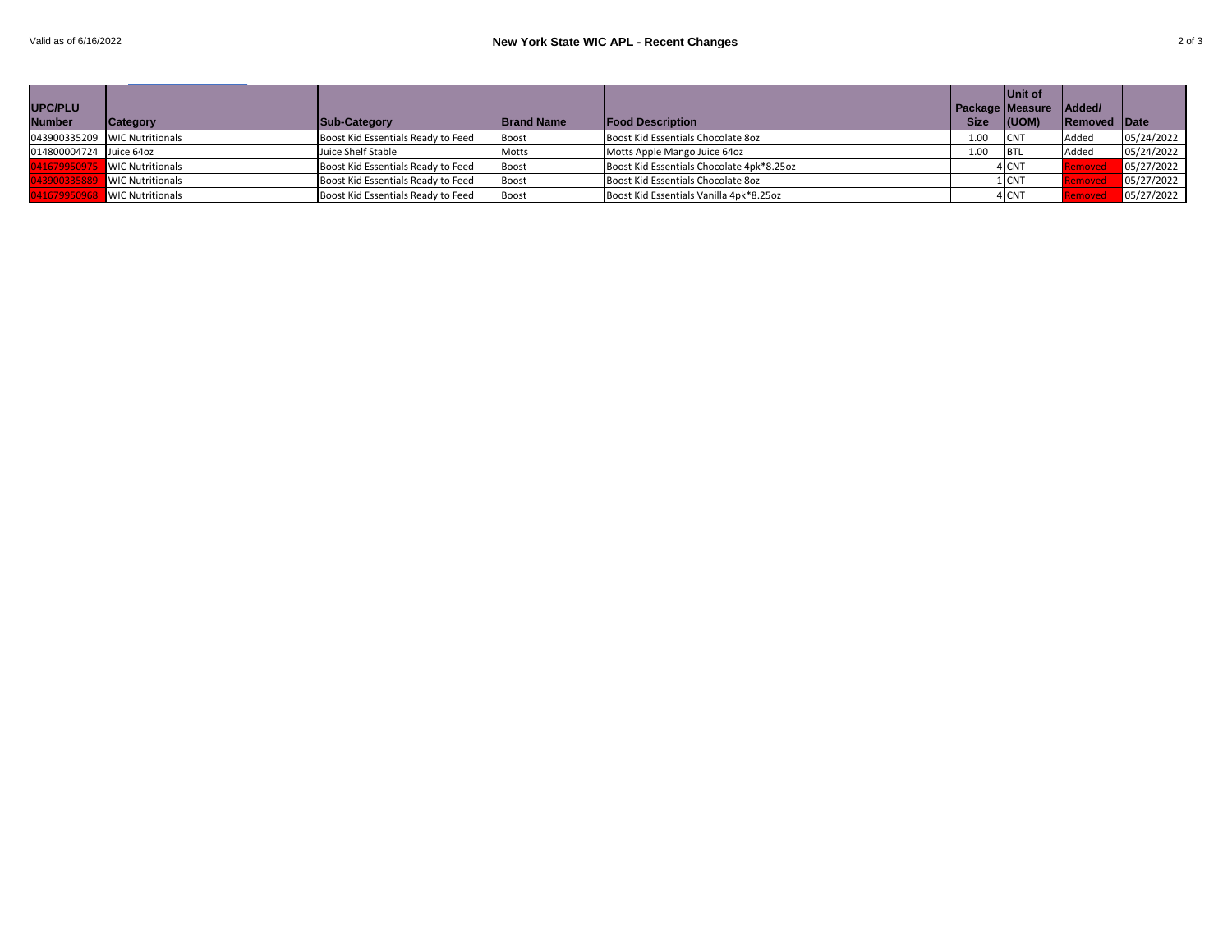|                         |                               |                                    |                   |                                           |             | Unit of           |                     |            |
|-------------------------|-------------------------------|------------------------------------|-------------------|-------------------------------------------|-------------|-------------------|---------------------|------------|
| <b>UPC/PLU</b>          |                               |                                    |                   |                                           |             | Package   Measure | Added/              |            |
| <b>Number</b>           | <b>Category</b>               | Sub-Category                       | <b>Brand Name</b> | <b>Food Description</b>                   | <b>Size</b> | (UOM)             | <b>Removed Date</b> |            |
|                         | 043900335209 WIC Nutritionals | Boost Kid Essentials Ready to Feed | Boost             | Boost Kid Essentials Chocolate 80z        | 1.00        | <b>CNT</b>        | Added               | 05/24/2022 |
| 014800004724 Juice 64oz |                               | Juice Shelf Stable                 | Motts             | Motts Apple Mango Juice 64oz              | 1.00        | <b>BTL</b>        | Added               | 05/24/2022 |
|                         | <b>WIC Nutritionals</b>       | Boost Kid Essentials Ready to Feed | Boost             | Boost Kid Essentials Chocolate 4pk*8.25oz |             | 4 CNT             |                     | 05/27/2022 |
|                         | <b>NIC Nutritionals</b>       | Boost Kid Essentials Ready to Feed | Boost             | Boost Kid Essentials Chocolate 8oz        |             | 1 CNT             |                     | 05/27/2022 |
|                         | <b>WIC Nutritionals</b>       | Boost Kid Essentials Ready to Feed | Boost             | Boost Kid Essentials Vanilla 4pk*8.25oz   |             | 4 CNT             |                     | 05/27/2022 |